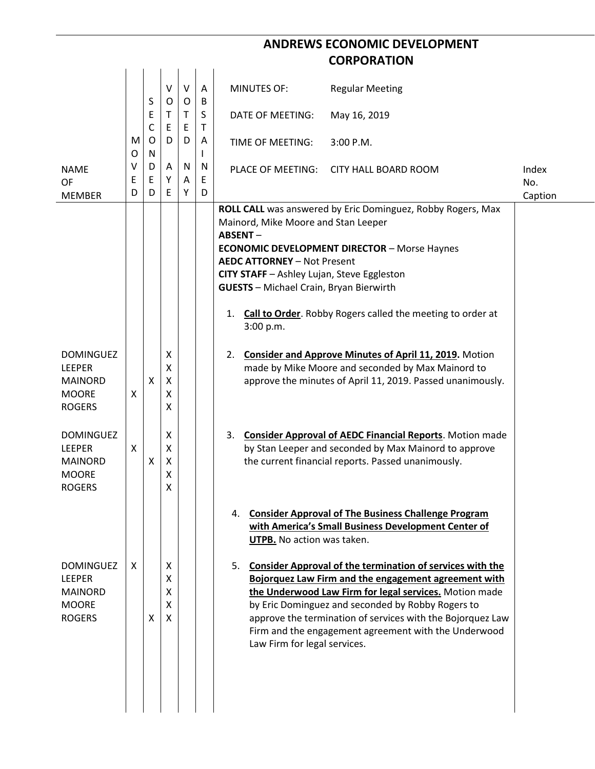## **ANDREWS ECONOMIC DEVELOPMENT CORPORATION**

|                                                                                      |             | S<br>Ε<br>C | V<br>$\circ$<br>Т<br>E | $\vee$<br>O<br>T.<br>E | A<br>B<br>S<br>Τ  | <b>MINUTES OF:</b>                                                                                                                                                                                             | <b>Regular Meeting</b>                                                                                                                                                                                                                                                                                                                                    |                         |
|--------------------------------------------------------------------------------------|-------------|-------------|------------------------|------------------------|-------------------|----------------------------------------------------------------------------------------------------------------------------------------------------------------------------------------------------------------|-----------------------------------------------------------------------------------------------------------------------------------------------------------------------------------------------------------------------------------------------------------------------------------------------------------------------------------------------------------|-------------------------|
|                                                                                      |             |             |                        |                        |                   | DATE OF MEETING:                                                                                                                                                                                               | May 16, 2019                                                                                                                                                                                                                                                                                                                                              |                         |
|                                                                                      | M<br>O      | O<br>N      | D                      | D                      | A<br>$\mathbf{I}$ | TIME OF MEETING:                                                                                                                                                                                               | 3:00 P.M.                                                                                                                                                                                                                                                                                                                                                 |                         |
| <b>NAME</b><br><b>OF</b><br><b>MEMBER</b>                                            | v<br>E<br>D | D<br>Ε<br>D | A<br>Υ<br>E            | N<br>A<br>Υ            | N<br>E<br>D       | PLACE OF MEETING:                                                                                                                                                                                              | <b>CITY HALL BOARD ROOM</b>                                                                                                                                                                                                                                                                                                                               | Index<br>No.<br>Caption |
|                                                                                      |             |             |                        |                        |                   | Mainord, Mike Moore and Stan Leeper<br><b>ABSENT-</b><br><b>AEDC ATTORNEY - Not Present</b><br>CITY STAFF - Ashley Lujan, Steve Eggleston<br><b>GUESTS</b> - Michael Crain, Bryan Bierwirth<br>1.<br>3:00 p.m. | ROLL CALL was answered by Eric Dominguez, Robby Rogers, Max<br><b>ECONOMIC DEVELOPMENT DIRECTOR - Morse Haynes</b><br><b>Call to Order.</b> Robby Rogers called the meeting to order at                                                                                                                                                                   |                         |
| <b>DOMINGUEZ</b><br>LEEPER<br><b>MAINORD</b><br><b>MOORE</b><br><b>ROGERS</b>        | X           | X           | Χ<br>X<br>Χ<br>Χ<br>X  |                        |                   | 2.                                                                                                                                                                                                             | <b>Consider and Approve Minutes of April 11, 2019.</b> Motion<br>made by Mike Moore and seconded by Max Mainord to<br>approve the minutes of April 11, 2019. Passed unanimously.                                                                                                                                                                          |                         |
| <b>DOMINGUEZ</b><br><b>LEEPER</b><br><b>MAINORD</b><br><b>MOORE</b><br><b>ROGERS</b> | X           | X           | X<br>X<br>X<br>Χ<br>х  |                        |                   | 3.                                                                                                                                                                                                             | <b>Consider Approval of AEDC Financial Reports. Motion made</b><br>by Stan Leeper and seconded by Max Mainord to approve<br>the current financial reports. Passed unanimously.                                                                                                                                                                            |                         |
|                                                                                      |             |             |                        |                        |                   | UTPB. No action was taken.                                                                                                                                                                                     | 4. Consider Approval of The Business Challenge Program<br>with America's Small Business Development Center of                                                                                                                                                                                                                                             |                         |
| <b>DOMINGUEZ</b><br><b>LEEPER</b><br><b>MAINORD</b><br><b>MOORE</b><br><b>ROGERS</b> | X           | X           | X<br>X<br>X<br>X<br>X  |                        |                   | Law Firm for legal services.                                                                                                                                                                                   | 5. Consider Approval of the termination of services with the<br>Bojorquez Law Firm and the engagement agreement with<br>the Underwood Law Firm for legal services. Motion made<br>by Eric Dominguez and seconded by Robby Rogers to<br>approve the termination of services with the Bojorquez Law<br>Firm and the engagement agreement with the Underwood |                         |
|                                                                                      |             |             |                        |                        |                   |                                                                                                                                                                                                                |                                                                                                                                                                                                                                                                                                                                                           |                         |